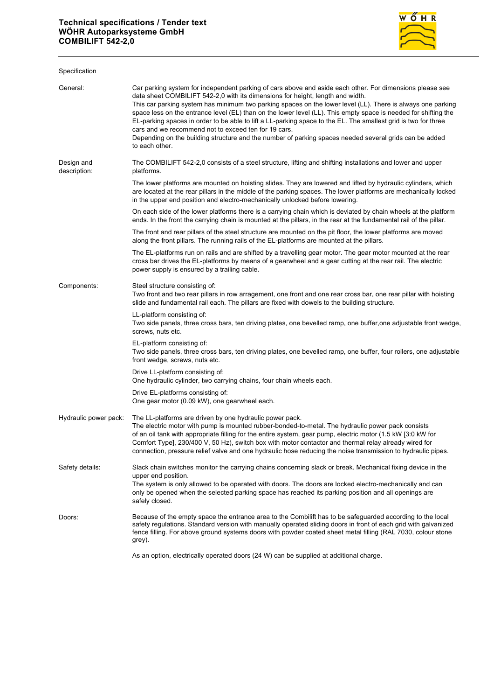

| Specification              |                                                                                                                                                                                                                                                                                                                                                                                                                                                                                                                                                                                                                                                                                                                                    |
|----------------------------|------------------------------------------------------------------------------------------------------------------------------------------------------------------------------------------------------------------------------------------------------------------------------------------------------------------------------------------------------------------------------------------------------------------------------------------------------------------------------------------------------------------------------------------------------------------------------------------------------------------------------------------------------------------------------------------------------------------------------------|
| General:                   | Car parking system for independent parking of cars above and aside each other. For dimensions please see<br>data sheet COMBILIFT 542-2,0 with its dimensions for height, length and width.<br>This car parking system has minimum two parking spaces on the lower level (LL). There is always one parking<br>space less on the entrance level (EL) than on the lower level (LL). This empty space is needed for shifting the<br>EL-parking spaces in order to be able to lift a LL-parking space to the EL. The smallest grid is two for three<br>cars and we recommend not to exceed ten for 19 cars.<br>Depending on the building structure and the number of parking spaces needed several grids can be added<br>to each other. |
| Design and<br>description: | The COMBILIFT 542-2,0 consists of a steel structure, lifting and shifting installations and lower and upper<br>platforms.                                                                                                                                                                                                                                                                                                                                                                                                                                                                                                                                                                                                          |
|                            | The lower platforms are mounted on hoisting slides. They are lowered and lifted by hydraulic cylinders, which<br>are located at the rear pillars in the middle of the parking spaces. The lower platforms are mechanically locked<br>in the upper end position and electro-mechanically unlocked before lowering.                                                                                                                                                                                                                                                                                                                                                                                                                  |
|                            | On each side of the lower platforms there is a carrying chain which is deviated by chain wheels at the platform<br>ends. In the front the carrying chain is mounted at the pillars, in the rear at the fundamental rail of the pillar.                                                                                                                                                                                                                                                                                                                                                                                                                                                                                             |
|                            | The front and rear pillars of the steel structure are mounted on the pit floor, the lower platforms are moved<br>along the front pillars. The running rails of the EL-platforms are mounted at the pillars.                                                                                                                                                                                                                                                                                                                                                                                                                                                                                                                        |
|                            | The EL-platforms run on rails and are shifted by a travelling gear motor. The gear motor mounted at the rear<br>cross bar drives the EL-platforms by means of a gearwheel and a gear cutting at the rear rail. The electric<br>power supply is ensured by a trailing cable.                                                                                                                                                                                                                                                                                                                                                                                                                                                        |
| Components:                | Steel structure consisting of:<br>Two front and two rear pillars in row arragement, one front and one rear cross bar, one rear pillar with hoisting<br>slide and fundamental rail each. The pillars are fixed with dowels to the building structure.                                                                                                                                                                                                                                                                                                                                                                                                                                                                               |
|                            | LL-platform consisting of:<br>Two side panels, three cross bars, ten driving plates, one bevelled ramp, one buffer, one adjustable front wedge,<br>screws, nuts etc.                                                                                                                                                                                                                                                                                                                                                                                                                                                                                                                                                               |
|                            | EL-platform consisting of:<br>Two side panels, three cross bars, ten driving plates, one bevelled ramp, one buffer, four rollers, one adjustable<br>front wedge, screws, nuts etc.                                                                                                                                                                                                                                                                                                                                                                                                                                                                                                                                                 |
|                            | Drive LL-platform consisting of:<br>One hydraulic cylinder, two carrying chains, four chain wheels each.                                                                                                                                                                                                                                                                                                                                                                                                                                                                                                                                                                                                                           |
|                            | Drive EL-platforms consisting of:<br>One gear motor (0.09 kW), one gearwheel each.                                                                                                                                                                                                                                                                                                                                                                                                                                                                                                                                                                                                                                                 |
| Hydraulic power pack:      | The LL-platforms are driven by one hydraulic power pack.<br>The electric motor with pump is mounted rubber-bonded-to-metal. The hydraulic power pack consists<br>of an oil tank with appropriate filling for the entire system, gear pump, electric motor (1.5 kW [3:0 kW for<br>Comfort Type], 230/400 V, 50 Hz), switch box with motor contactor and thermal relay already wired for<br>connection, pressure relief valve and one hydraulic hose reducing the noise transmission to hydraulic pipes.                                                                                                                                                                                                                             |
| Safety details:            | Slack chain switches monitor the carrying chains concerning slack or break. Mechanical fixing device in the<br>upper end position.<br>The system is only allowed to be operated with doors. The doors are locked electro-mechanically and can<br>only be opened when the selected parking space has reached its parking position and all openings are<br>safely closed.                                                                                                                                                                                                                                                                                                                                                            |
| Doors:                     | Because of the empty space the entrance area to the Combilift has to be safeguarded according to the local<br>safety regulations. Standard version with manually operated sliding doors in front of each grid with galvanized<br>fence filling. For above ground systems doors with powder coated sheet metal filling (RAL 7030, colour stone<br>grey).                                                                                                                                                                                                                                                                                                                                                                            |
|                            | As an option, electrically operated doors (24 W) can be supplied at additional charge.                                                                                                                                                                                                                                                                                                                                                                                                                                                                                                                                                                                                                                             |